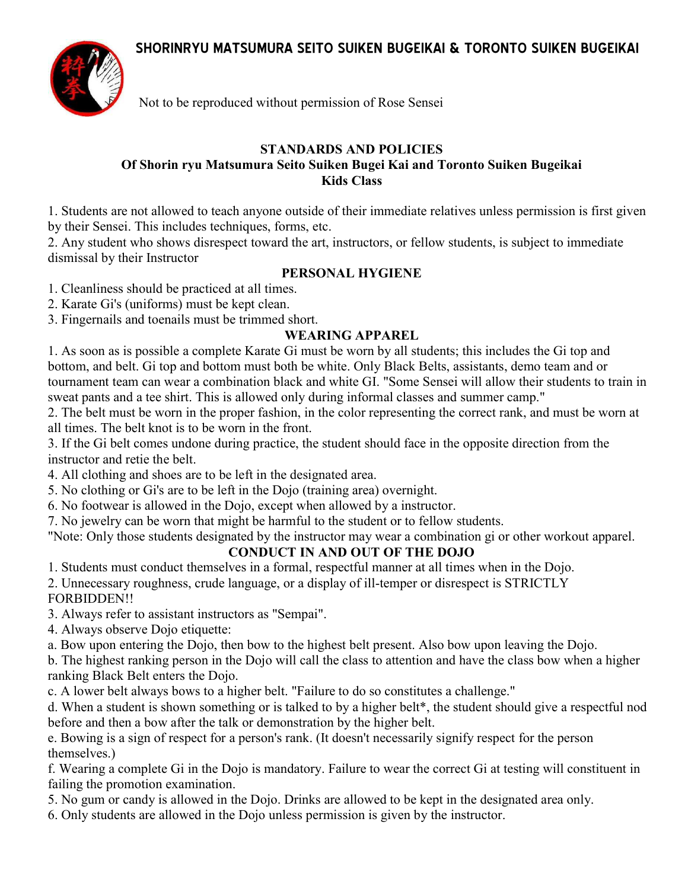**SHORINRYU MATSUMURA SEITO SUIKEN BUGEIKAI & TORONTO SUIKEN BUGEIKAI** 



Not to be reproduced without permission of Rose Sensei

#### **STANDARDS AND POLICIES Of Shorin ryu Matsumura Seito Suiken Bugei Kai and Toronto Suiken Bugeikai Kids Class**

1. Students are not allowed to teach anyone outside of their immediate relatives unless permission is first given by their Sensei. This includes techniques, forms, etc.

2. Any student who shows disrespect toward the art, instructors, or fellow students, is subject to immediate dismissal by their Instructor

## **PERSONAL HYGIENE**

1. Cleanliness should be practiced at all times.

2. Karate Gi's (uniforms) must be kept clean.

3. Fingernails and toenails must be trimmed short.

## **WEARING APPAREL**

1. As soon as is possible a complete Karate Gi must be worn by all students; this includes the Gi top and bottom, and belt. Gi top and bottom must both be white. Only Black Belts, assistants, demo team and or tournament team can wear a combination black and white GI. "Some Sensei will allow their students to train in sweat pants and a tee shirt. This is allowed only during informal classes and summer camp."

2. The belt must be worn in the proper fashion, in the color representing the correct rank, and must be worn at all times. The belt knot is to be worn in the front.

3. If the Gi belt comes undone during practice, the student should face in the opposite direction from the instructor and retie the belt.

4. All clothing and shoes are to be left in the designated area.

5. No clothing or Gi's are to be left in the Dojo (training area) overnight.

6. No footwear is allowed in the Dojo, except when allowed by a instructor.

7. No jewelry can be worn that might be harmful to the student or to fellow students.

"Note: Only those students designated by the instructor may wear a combination gi or other workout apparel.

## **CONDUCT IN AND OUT OF THE DOJO**

1. Students must conduct themselves in a formal, respectful manner at all times when in the Dojo.

2. Unnecessary roughness, crude language, or a display of ill-temper or disrespect is STRICTLY

FORBIDDEN!!

3. Always refer to assistant instructors as "Sempai".

4. Always observe Dojo etiquette:

a. Bow upon entering the Dojo, then bow to the highest belt present. Also bow upon leaving the Dojo.

b. The highest ranking person in the Dojo will call the class to attention and have the class bow when a higher ranking Black Belt enters the Dojo.

c. A lower belt always bows to a higher belt. "Failure to do so constitutes a challenge."

d. When a student is shown something or is talked to by a higher belt\*, the student should give a respectful nod before and then a bow after the talk or demonstration by the higher belt.

e. Bowing is a sign of respect for a person's rank. (It doesn't necessarily signify respect for the person themselves.)

f. Wearing a complete Gi in the Dojo is mandatory. Failure to wear the correct Gi at testing will constituent in failing the promotion examination.

5. No gum or candy is allowed in the Dojo. Drinks are allowed to be kept in the designated area only.

6. Only students are allowed in the Dojo unless permission is given by the instructor.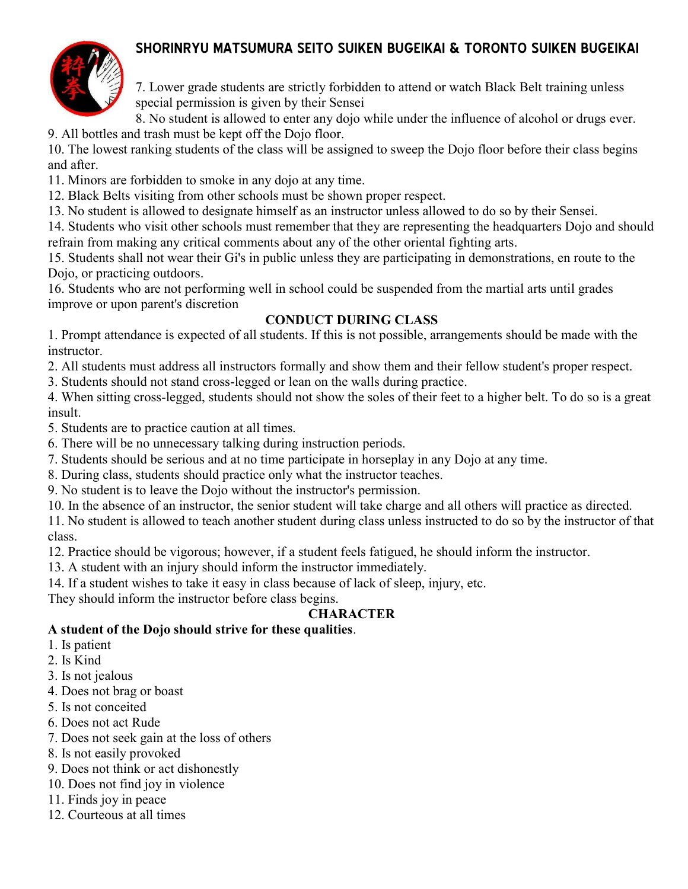# **SHORINRYU MATSUMURA SEITO SUIKEN BUGEIKAI & TORONTO SUIKEN BUGEIKAI**



7. Lower grade students are strictly forbidden to attend or watch Black Belt training unless special permission is given by their Sensei

8. No student is allowed to enter any dojo while under the influence of alcohol or drugs ever. 9. All bottles and trash must be kept off the Dojo floor.

10. The lowest ranking students of the class will be assigned to sweep the Dojo floor before their class begins and after.

11. Minors are forbidden to smoke in any dojo at any time.

12. Black Belts visiting from other schools must be shown proper respect.

13. No student is allowed to designate himself as an instructor unless allowed to do so by their Sensei.

14. Students who visit other schools must remember that they are representing the headquarters Dojo and should refrain from making any critical comments about any of the other oriental fighting arts.

15. Students shall not wear their Gi's in public unless they are participating in demonstrations, en route to the Dojo, or practicing outdoors.

16. Students who are not performing well in school could be suspended from the martial arts until grades improve or upon parent's discretion

#### **CONDUCT DURING CLASS**

1. Prompt attendance is expected of all students. If this is not possible, arrangements should be made with the instructor.

2. All students must address all instructors formally and show them and their fellow student's proper respect.

3. Students should not stand cross-legged or lean on the walls during practice.

4. When sitting cross-legged, students should not show the soles of their feet to a higher belt. To do so is a great insult.

5. Students are to practice caution at all times.

6. There will be no unnecessary talking during instruction periods.

7. Students should be serious and at no time participate in horseplay in any Dojo at any time.

8. During class, students should practice only what the instructor teaches.

9. No student is to leave the Dojo without the instructor's permission.

10. In the absence of an instructor, the senior student will take charge and all others will practice as directed.

11. No student is allowed to teach another student during class unless instructed to do so by the instructor of that class.

12. Practice should be vigorous; however, if a student feels fatigued, he should inform the instructor.

13. A student with an injury should inform the instructor immediately.

14. If a student wishes to take it easy in class because of lack of sleep, injury, etc.

They should inform the instructor before class begins.

## **CHARACTER**

## **A student of the Dojo should strive for these qualities**.

1. Is patient

2. Is Kind

- 3. Is not jealous
- 4. Does not brag or boast
- 5. Is not conceited
- 6. Does not act Rude
- 7. Does not seek gain at the loss of others
- 8. Is not easily provoked
- 9. Does not think or act dishonestly
- 10. Does not find joy in violence
- 11. Finds joy in peace
- 12. Courteous at all times